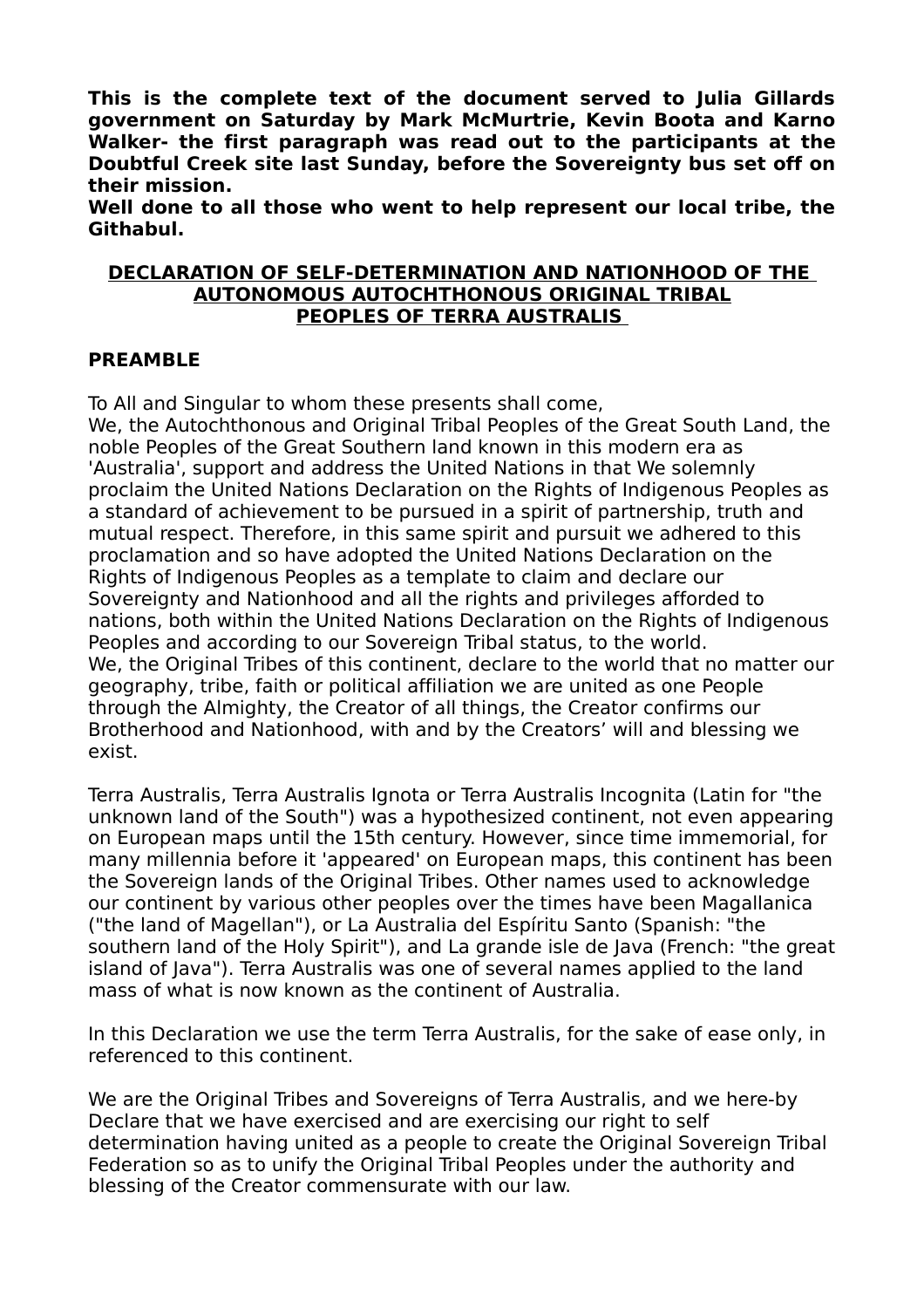**This is the complete text of the document served to Julia Gillards government on Saturday by Mark McMurtrie, Kevin Boota and Karno Walker- the first paragraph was read out to the participants at the Doubtful Creek site last Sunday, before the Sovereignty bus set off on their mission.**

**Well done to all those who went to help represent our local tribe, the Githabul.**

#### **DECLARATION OF SELF-DETERMINATION AND NATIONHOOD OF THE AUTONOMOUS AUTOCHTHONOUS ORIGINAL TRIBAL PEOPLES OF TERRA AUSTRALIS**

#### **PREAMBLE**

To All and Singular to whom these presents shall come,

We, the Autochthonous and Original Tribal Peoples of the Great South Land, the noble Peoples of the Great Southern land known in this modern era as 'Australia', support and address the United Nations in that We solemnly proclaim the United Nations Declaration on the Rights of Indigenous Peoples as a standard of achievement to be pursued in a spirit of partnership, truth and mutual respect. Therefore, in this same spirit and pursuit we adhered to this proclamation and so have adopted the United Nations Declaration on the Rights of Indigenous Peoples as a template to claim and declare our Sovereignty and Nationhood and all the rights and privileges afforded to nations, both within the United Nations Declaration on the Rights of Indigenous Peoples and according to our Sovereign Tribal status, to the world. We, the Original Tribes of this continent, declare to the world that no matter our geography, tribe, faith or political affiliation we are united as one People through the Almighty, the Creator of all things, the Creator confirms our Brotherhood and Nationhood, with and by the Creators' will and blessing we exist.

Terra Australis, Terra Australis Ignota or Terra Australis Incognita (Latin for "the unknown land of the South") was a hypothesized continent, not even appearing on European maps until the 15th century. However, since time immemorial, for many millennia before it 'appeared' on European maps, this continent has been the Sovereign lands of the Original Tribes. Other names used to acknowledge our continent by various other peoples over the times have been Magallanica ("the land of Magellan"), or La Australia del Espíritu Santo (Spanish: "the southern land of the Holy Spirit"), and La grande isle de Java (French: "the great island of Java"). Terra Australis was one of several names applied to the land mass of what is now known as the continent of Australia.

In this Declaration we use the term Terra Australis, for the sake of ease only, in referenced to this continent.

We are the Original Tribes and Sovereigns of Terra Australis, and we here-by Declare that we have exercised and are exercising our right to self determination having united as a people to create the Original Sovereign Tribal Federation so as to unify the Original Tribal Peoples under the authority and blessing of the Creator commensurate with our law.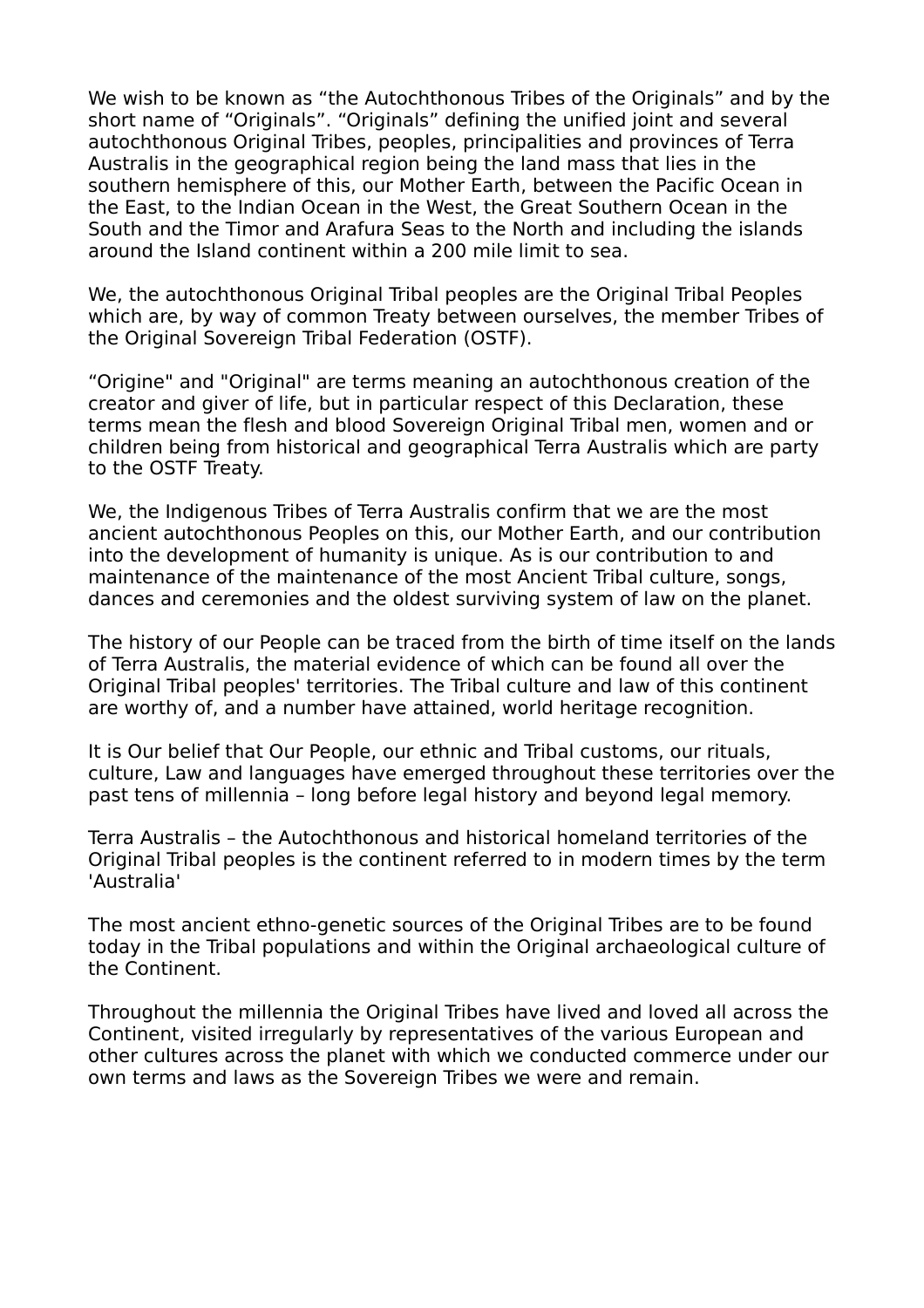We wish to be known as "the Autochthonous Tribes of the Originals" and by the short name of "Originals". "Originals" defining the unified joint and several autochthonous Original Tribes, peoples, principalities and provinces of Terra Australis in the geographical region being the land mass that lies in the southern hemisphere of this, our Mother Earth, between the Pacific Ocean in the East, to the Indian Ocean in the West, the Great Southern Ocean in the South and the Timor and Arafura Seas to the North and including the islands around the Island continent within a 200 mile limit to sea.

We, the autochthonous Original Tribal peoples are the Original Tribal Peoples which are, by way of common Treaty between ourselves, the member Tribes of the Original Sovereign Tribal Federation (OSTF).

"Origine" and "Original" are terms meaning an autochthonous creation of the creator and giver of life, but in particular respect of this Declaration, these terms mean the flesh and blood Sovereign Original Tribal men, women and or children being from historical and geographical Terra Australis which are party to the OSTF Treaty.

We, the Indigenous Tribes of Terra Australis confirm that we are the most ancient autochthonous Peoples on this, our Mother Earth, and our contribution into the development of humanity is unique. As is our contribution to and maintenance of the maintenance of the most Ancient Tribal culture, songs, dances and ceremonies and the oldest surviving system of law on the planet.

The history of our People can be traced from the birth of time itself on the lands of Terra Australis, the material evidence of which can be found all over the Original Tribal peoples' territories. The Tribal culture and law of this continent are worthy of, and a number have attained, world heritage recognition.

It is Our belief that Our People, our ethnic and Tribal customs, our rituals, culture, Law and languages have emerged throughout these territories over the past tens of millennia – long before legal history and beyond legal memory.

Terra Australis – the Autochthonous and historical homeland territories of the Original Tribal peoples is the continent referred to in modern times by the term 'Australia'

The most ancient ethno-genetic sources of the Original Tribes are to be found today in the Tribal populations and within the Original archaeological culture of the Continent.

Throughout the millennia the Original Tribes have lived and loved all across the Continent, visited irregularly by representatives of the various European and other cultures across the planet with which we conducted commerce under our own terms and laws as the Sovereign Tribes we were and remain.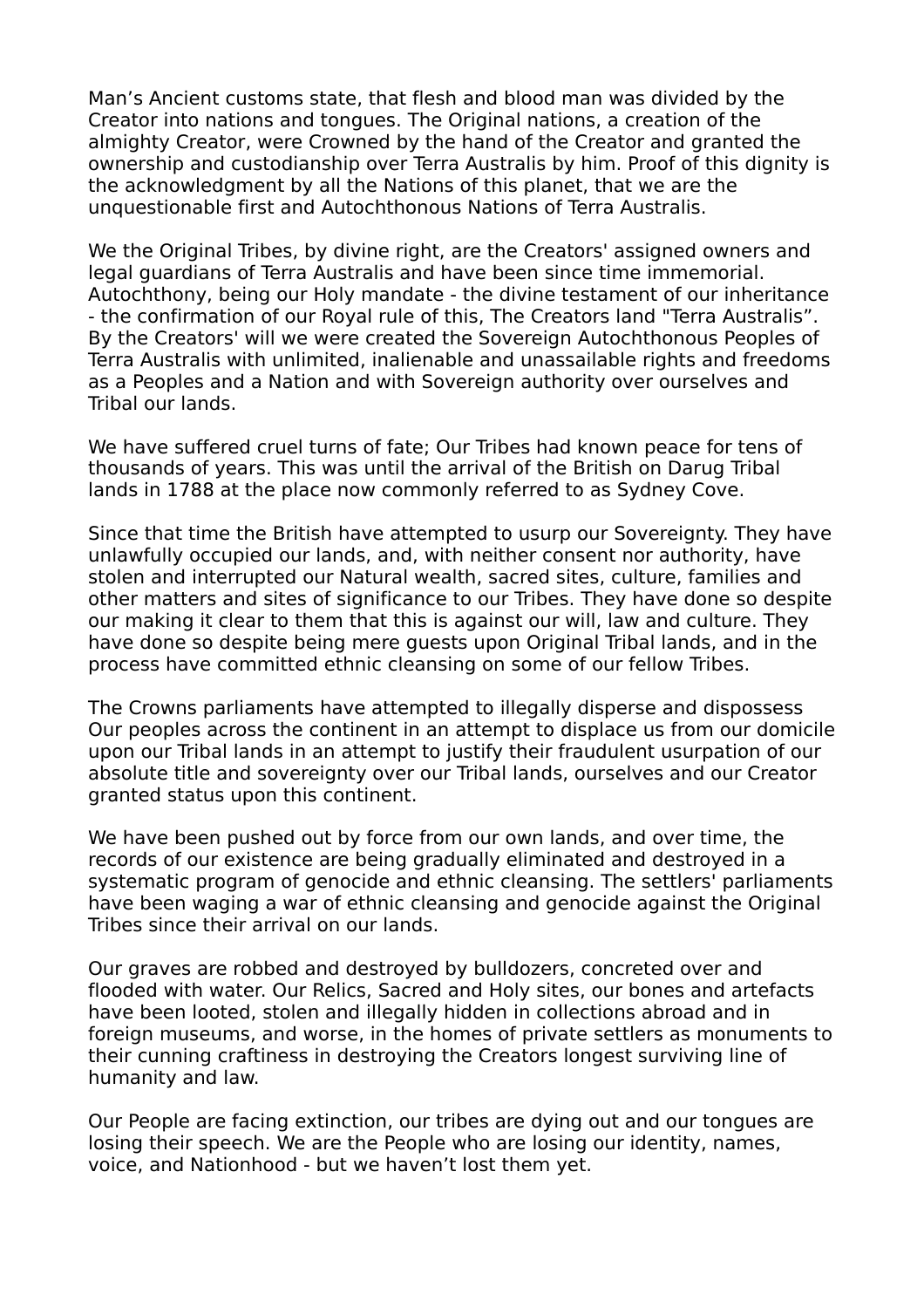Man's Ancient customs state, that flesh and blood man was divided by the Creator into nations and tongues. The Original nations, a creation of the almighty Creator, were Crowned by the hand of the Creator and granted the ownership and custodianship over Terra Australis by him. Proof of this dignity is the acknowledgment by all the Nations of this planet, that we are the unquestionable first and Autochthonous Nations of Terra Australis.

We the Original Tribes, by divine right, are the Creators' assigned owners and legal guardians of Terra Australis and have been since time immemorial. Autochthony, being our Holy mandate - the divine testament of our inheritance - the confirmation of our Royal rule of this, The Creators land "Terra Australis". By the Creators' will we were created the Sovereign Autochthonous Peoples of Terra Australis with unlimited, inalienable and unassailable rights and freedoms as a Peoples and a Nation and with Sovereign authority over ourselves and Tribal our lands.

We have suffered cruel turns of fate; Our Tribes had known peace for tens of thousands of years. This was until the arrival of the British on Darug Tribal lands in 1788 at the place now commonly referred to as Sydney Cove.

Since that time the British have attempted to usurp our Sovereignty. They have unlawfully occupied our lands, and, with neither consent nor authority, have stolen and interrupted our Natural wealth, sacred sites, culture, families and other matters and sites of significance to our Tribes. They have done so despite our making it clear to them that this is against our will, law and culture. They have done so despite being mere guests upon Original Tribal lands, and in the process have committed ethnic cleansing on some of our fellow Tribes.

The Crowns parliaments have attempted to illegally disperse and dispossess Our peoples across the continent in an attempt to displace us from our domicile upon our Tribal lands in an attempt to justify their fraudulent usurpation of our absolute title and sovereignty over our Tribal lands, ourselves and our Creator granted status upon this continent.

We have been pushed out by force from our own lands, and over time, the records of our existence are being gradually eliminated and destroyed in a systematic program of genocide and ethnic cleansing. The settlers' parliaments have been waging a war of ethnic cleansing and genocide against the Original Tribes since their arrival on our lands.

Our graves are robbed and destroyed by bulldozers, concreted over and flooded with water. Our Relics, Sacred and Holy sites, our bones and artefacts have been looted, stolen and illegally hidden in collections abroad and in foreign museums, and worse, in the homes of private settlers as monuments to their cunning craftiness in destroying the Creators longest surviving line of humanity and law.

Our People are facing extinction, our tribes are dying out and our tongues are losing their speech. We are the People who are losing our identity, names, voice, and Nationhood - but we haven't lost them yet.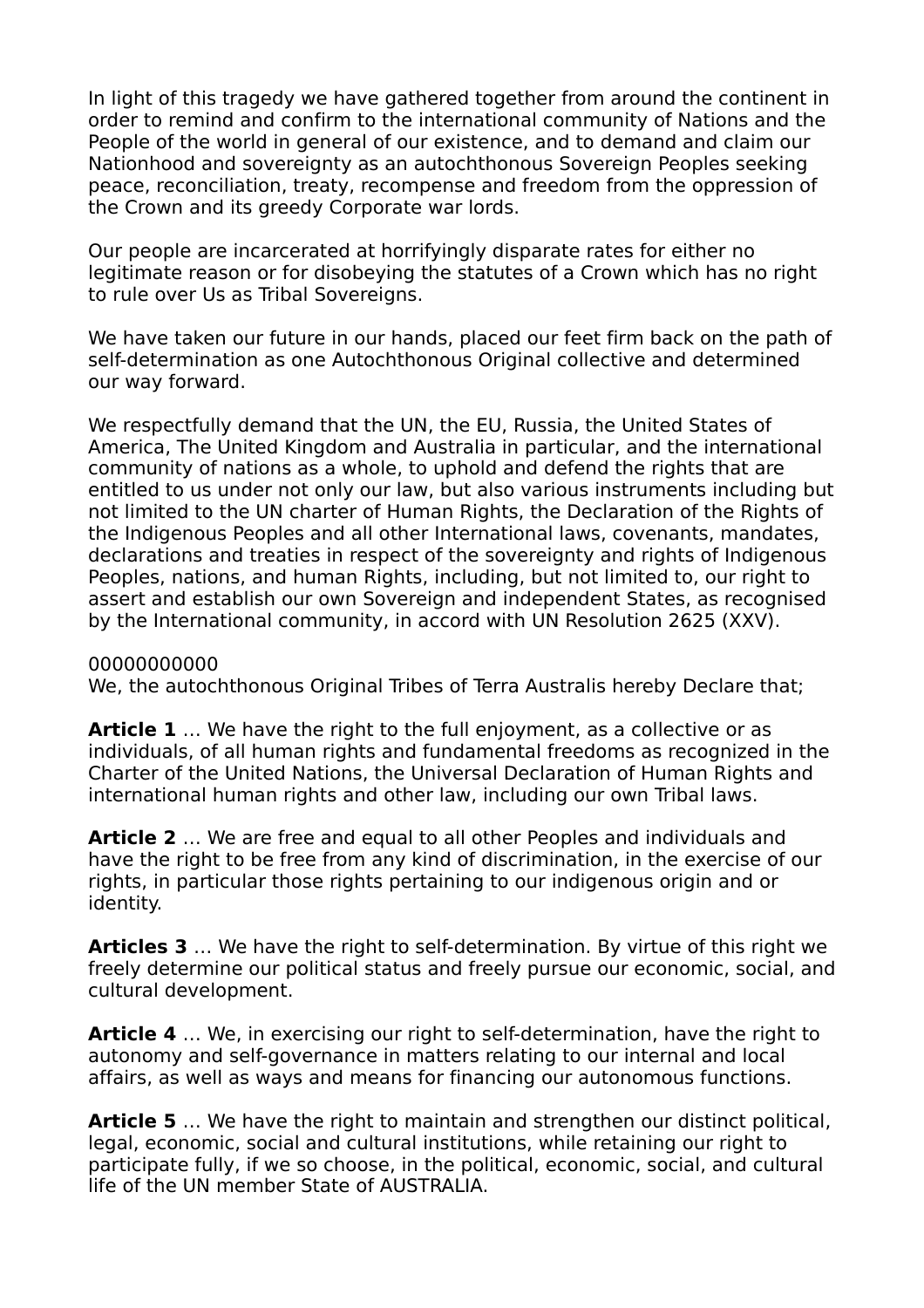In light of this tragedy we have gathered together from around the continent in order to remind and confirm to the international community of Nations and the People of the world in general of our existence, and to demand and claim our Nationhood and sovereignty as an autochthonous Sovereign Peoples seeking peace, reconciliation, treaty, recompense and freedom from the oppression of the Crown and its greedy Corporate war lords.

Our people are incarcerated at horrifyingly disparate rates for either no legitimate reason or for disobeying the statutes of a Crown which has no right to rule over Us as Tribal Sovereigns.

We have taken our future in our hands, placed our feet firm back on the path of self-determination as one Autochthonous Original collective and determined our way forward.

We respectfully demand that the UN, the EU, Russia, the United States of America, The United Kingdom and Australia in particular, and the international community of nations as a whole, to uphold and defend the rights that are entitled to us under not only our law, but also various instruments including but not limited to the UN charter of Human Rights, the Declaration of the Rights of the Indigenous Peoples and all other International laws, covenants, mandates, declarations and treaties in respect of the sovereignty and rights of Indigenous Peoples, nations, and human Rights, including, but not limited to, our right to assert and establish our own Sovereign and independent States, as recognised by the International community, in accord with UN Resolution 2625 (XXV).

#### 00000000000

We, the autochthonous Original Tribes of Terra Australis hereby Declare that;

**Article 1** ... We have the right to the full enjoyment, as a collective or as individuals, of all human rights and fundamental freedoms as recognized in the Charter of the United Nations, the Universal Declaration of Human Rights and international human rights and other law, including our own Tribal laws.

**Article 2** … We are free and equal to all other Peoples and individuals and have the right to be free from any kind of discrimination, in the exercise of our rights, in particular those rights pertaining to our indigenous origin and or identity.

**Articles 3** … We have the right to self-determination. By virtue of this right we freely determine our political status and freely pursue our economic, social, and cultural development.

**Article 4** … We, in exercising our right to self-determination, have the right to autonomy and self-governance in matters relating to our internal and local affairs, as well as ways and means for financing our autonomous functions.

**Article 5** … We have the right to maintain and strengthen our distinct political, legal, economic, social and cultural institutions, while retaining our right to participate fully, if we so choose, in the political, economic, social, and cultural life of the UN member State of AUSTRALIA.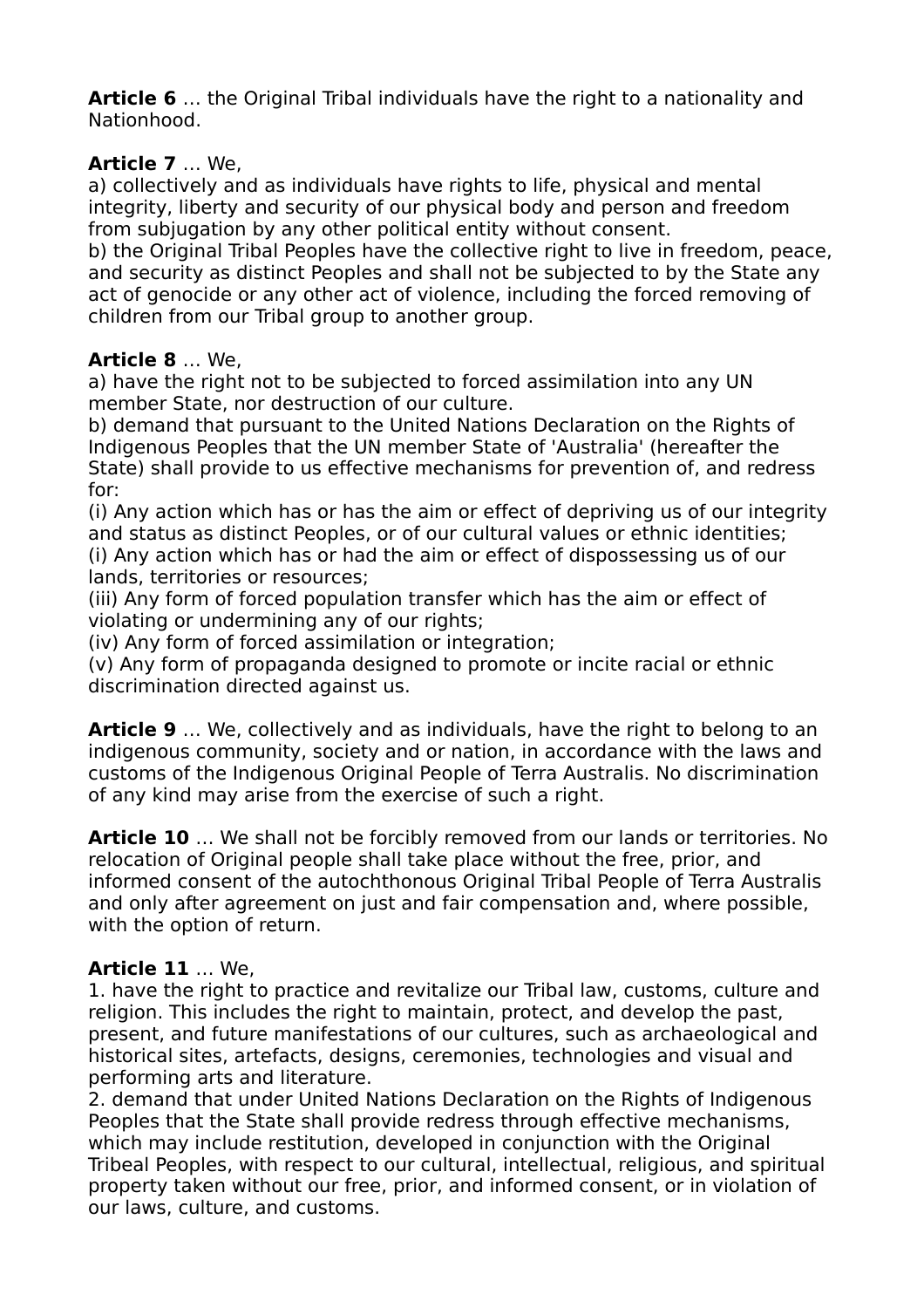**Article 6** … the Original Tribal individuals have the right to a nationality and Nationhood.

### **Article 7** … We,

a) collectively and as individuals have rights to life, physical and mental integrity, liberty and security of our physical body and person and freedom from subjugation by any other political entity without consent.

b) the Original Tribal Peoples have the collective right to live in freedom, peace, and security as distinct Peoples and shall not be subjected to by the State any act of genocide or any other act of violence, including the forced removing of children from our Tribal group to another group.

#### **Article 8** … We,

a) have the right not to be subjected to forced assimilation into any UN member State, nor destruction of our culture.

b) demand that pursuant to the United Nations Declaration on the Rights of Indigenous Peoples that the UN member State of 'Australia' (hereafter the State) shall provide to us effective mechanisms for prevention of, and redress for:

(i) Any action which has or has the aim or effect of depriving us of our integrity and status as distinct Peoples, or of our cultural values or ethnic identities; (i) Any action which has or had the aim or effect of dispossessing us of our lands, territories or resources;

(iii) Any form of forced population transfer which has the aim or effect of violating or undermining any of our rights;

(iv) Any form of forced assimilation or integration;

(v) Any form of propaganda designed to promote or incite racial or ethnic discrimination directed against us.

**Article 9** … We, collectively and as individuals, have the right to belong to an indigenous community, society and or nation, in accordance with the laws and customs of the Indigenous Original People of Terra Australis. No discrimination of any kind may arise from the exercise of such a right.

**Article 10** … We shall not be forcibly removed from our lands or territories. No relocation of Original people shall take place without the free, prior, and informed consent of the autochthonous Original Tribal People of Terra Australis and only after agreement on just and fair compensation and, where possible, with the option of return.

## **Article 11** … We,

1. have the right to practice and revitalize our Tribal law, customs, culture and religion. This includes the right to maintain, protect, and develop the past, present, and future manifestations of our cultures, such as archaeological and historical sites, artefacts, designs, ceremonies, technologies and visual and performing arts and literature.

2. demand that under United Nations Declaration on the Rights of Indigenous Peoples that the State shall provide redress through effective mechanisms, which may include restitution, developed in conjunction with the Original Tribeal Peoples, with respect to our cultural, intellectual, religious, and spiritual property taken without our free, prior, and informed consent, or in violation of our laws, culture, and customs.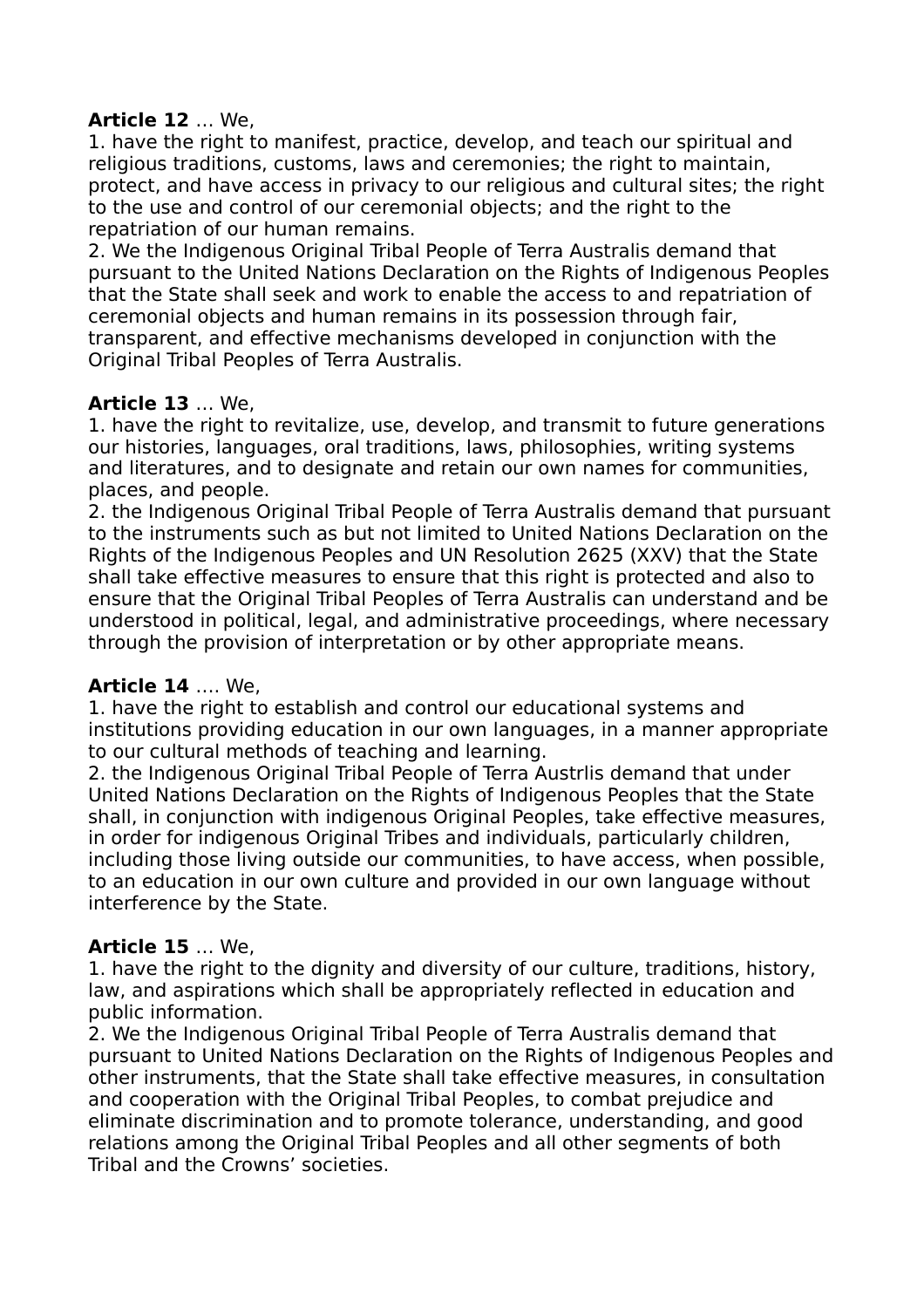## **Article 12** … We,

1. have the right to manifest, practice, develop, and teach our spiritual and religious traditions, customs, laws and ceremonies; the right to maintain, protect, and have access in privacy to our religious and cultural sites; the right to the use and control of our ceremonial objects; and the right to the repatriation of our human remains.

2. We the Indigenous Original Tribal People of Terra Australis demand that pursuant to the United Nations Declaration on the Rights of Indigenous Peoples that the State shall seek and work to enable the access to and repatriation of ceremonial objects and human remains in its possession through fair, transparent, and effective mechanisms developed in conjunction with the Original Tribal Peoples of Terra Australis.

#### **Article 13** … We,

1. have the right to revitalize, use, develop, and transmit to future generations our histories, languages, oral traditions, laws, philosophies, writing systems and literatures, and to designate and retain our own names for communities, places, and people.

2. the Indigenous Original Tribal People of Terra Australis demand that pursuant to the instruments such as but not limited to United Nations Declaration on the Rights of the Indigenous Peoples and UN Resolution 2625 (XXV) that the State shall take effective measures to ensure that this right is protected and also to ensure that the Original Tribal Peoples of Terra Australis can understand and be understood in political, legal, and administrative proceedings, where necessary through the provision of interpretation or by other appropriate means.

#### **Article 14** …. We,

1. have the right to establish and control our educational systems and institutions providing education in our own languages, in a manner appropriate to our cultural methods of teaching and learning.

2. the Indigenous Original Tribal People of Terra Austrlis demand that under United Nations Declaration on the Rights of Indigenous Peoples that the State shall, in conjunction with indigenous Original Peoples, take effective measures, in order for indigenous Original Tribes and individuals, particularly children, including those living outside our communities, to have access, when possible, to an education in our own culture and provided in our own language without interference by the State.

## **Article 15** … We,

1. have the right to the dignity and diversity of our culture, traditions, history, law, and aspirations which shall be appropriately reflected in education and public information.

2. We the Indigenous Original Tribal People of Terra Australis demand that pursuant to United Nations Declaration on the Rights of Indigenous Peoples and other instruments, that the State shall take effective measures, in consultation and cooperation with the Original Tribal Peoples, to combat prejudice and eliminate discrimination and to promote tolerance, understanding, and good relations among the Original Tribal Peoples and all other segments of both Tribal and the Crowns' societies.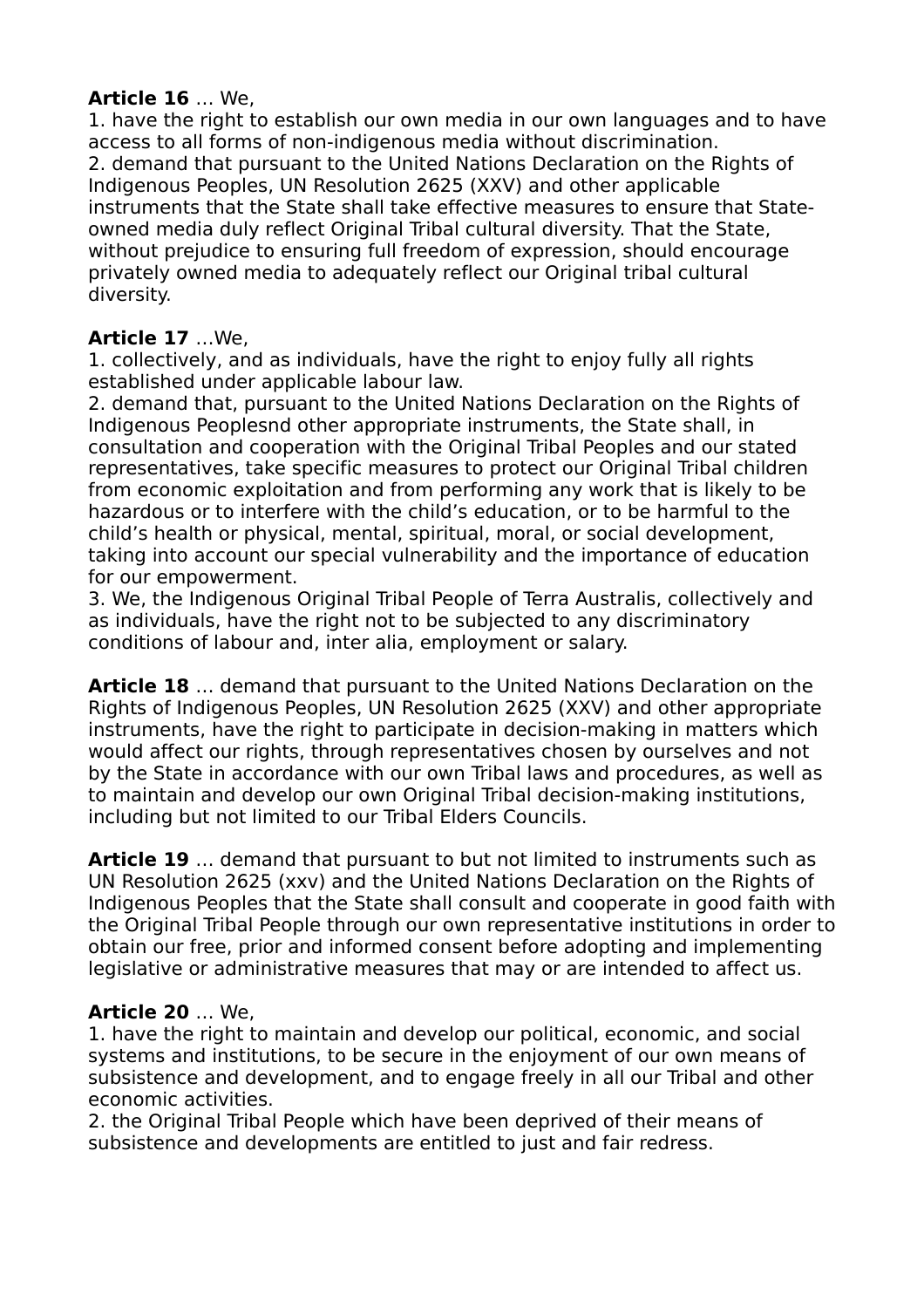#### **Article 16** … We,

1. have the right to establish our own media in our own languages and to have access to all forms of non-indigenous media without discrimination. 2. demand that pursuant to the United Nations Declaration on the Rights of Indigenous Peoples, UN Resolution 2625 (XXV) and other applicable instruments that the State shall take effective measures to ensure that Stateowned media duly reflect Original Tribal cultural diversity. That the State, without prejudice to ensuring full freedom of expression, should encourage privately owned media to adequately reflect our Original tribal cultural diversity.

# **Article 17** …We,

1. collectively, and as individuals, have the right to enjoy fully all rights established under applicable labour law.

2. demand that, pursuant to the United Nations Declaration on the Rights of Indigenous Peoplesnd other appropriate instruments, the State shall, in consultation and cooperation with the Original Tribal Peoples and our stated representatives, take specific measures to protect our Original Tribal children from economic exploitation and from performing any work that is likely to be hazardous or to interfere with the child's education, or to be harmful to the child's health or physical, mental, spiritual, moral, or social development, taking into account our special vulnerability and the importance of education for our empowerment.

3. We, the Indigenous Original Tribal People of Terra Australis, collectively and as individuals, have the right not to be subjected to any discriminatory conditions of labour and, inter alia, employment or salary.

**Article 18** … demand that pursuant to the United Nations Declaration on the Rights of Indigenous Peoples, UN Resolution 2625 (XXV) and other appropriate instruments, have the right to participate in decision-making in matters which would affect our rights, through representatives chosen by ourselves and not by the State in accordance with our own Tribal laws and procedures, as well as to maintain and develop our own Original Tribal decision-making institutions, including but not limited to our Tribal Elders Councils.

**Article 19** … demand that pursuant to but not limited to instruments such as UN Resolution 2625 (xxv) and the United Nations Declaration on the Rights of Indigenous Peoples that the State shall consult and cooperate in good faith with the Original Tribal People through our own representative institutions in order to obtain our free, prior and informed consent before adopting and implementing legislative or administrative measures that may or are intended to affect us.

## **Article 20** … We,

1. have the right to maintain and develop our political, economic, and social systems and institutions, to be secure in the enjoyment of our own means of subsistence and development, and to engage freely in all our Tribal and other economic activities.

2. the Original Tribal People which have been deprived of their means of subsistence and developments are entitled to just and fair redress.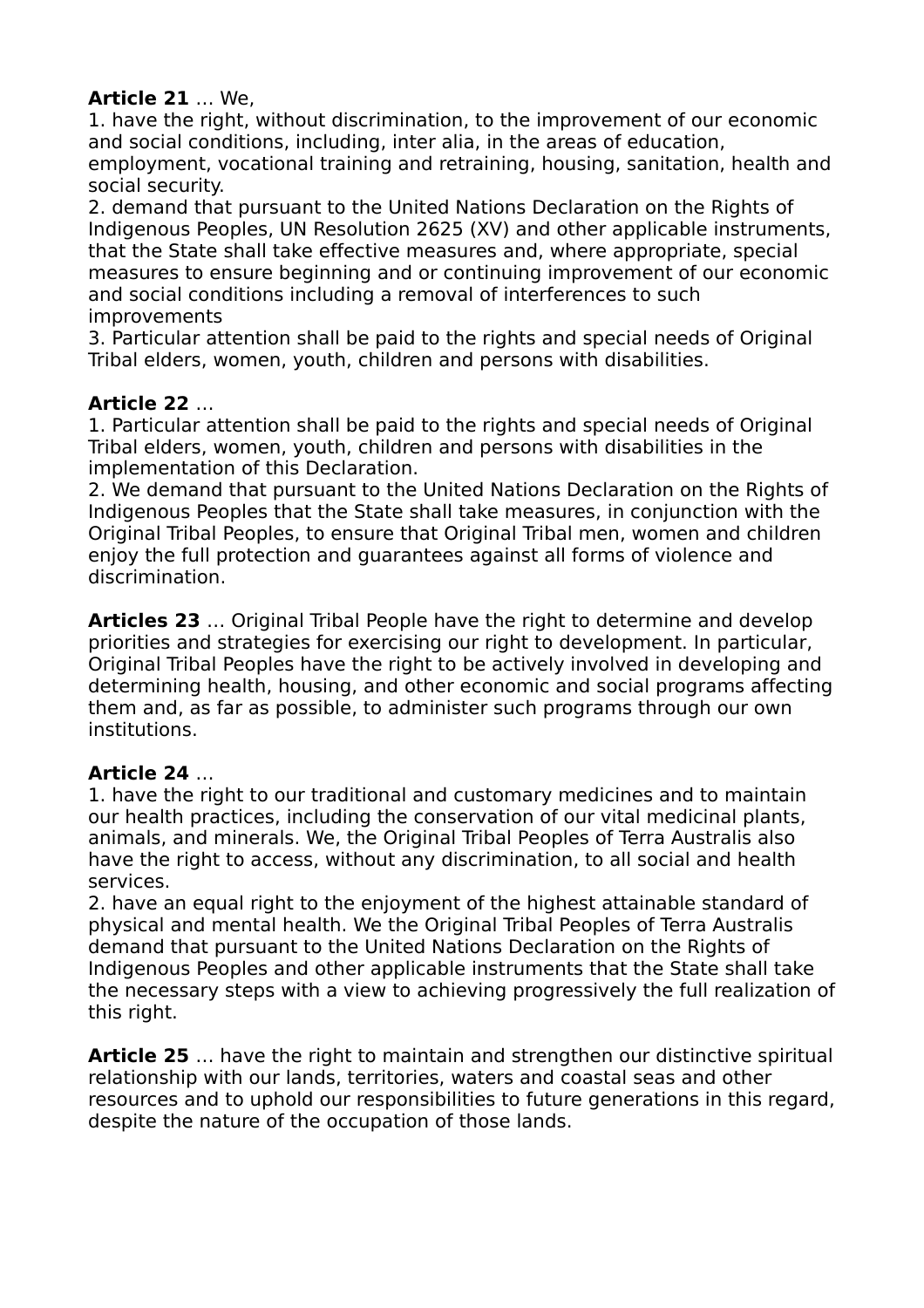### **Article 21** … We,

1. have the right, without discrimination, to the improvement of our economic and social conditions, including, inter alia, in the areas of education, employment, vocational training and retraining, housing, sanitation, health and social security.

2. demand that pursuant to the United Nations Declaration on the Rights of Indigenous Peoples, UN Resolution 2625 (XV) and other applicable instruments, that the State shall take effective measures and, where appropriate, special measures to ensure beginning and or continuing improvement of our economic and social conditions including a removal of interferences to such improvements

3. Particular attention shall be paid to the rights and special needs of Original Tribal elders, women, youth, children and persons with disabilities.

## **Article 22** …

1. Particular attention shall be paid to the rights and special needs of Original Tribal elders, women, youth, children and persons with disabilities in the implementation of this Declaration.

2. We demand that pursuant to the United Nations Declaration on the Rights of Indigenous Peoples that the State shall take measures, in conjunction with the Original Tribal Peoples, to ensure that Original Tribal men, women and children enjoy the full protection and guarantees against all forms of violence and discrimination.

**Articles 23** … Original Tribal People have the right to determine and develop priorities and strategies for exercising our right to development. In particular, Original Tribal Peoples have the right to be actively involved in developing and determining health, housing, and other economic and social programs affecting them and, as far as possible, to administer such programs through our own institutions.

## **Article 24** …

1. have the right to our traditional and customary medicines and to maintain our health practices, including the conservation of our vital medicinal plants, animals, and minerals. We, the Original Tribal Peoples of Terra Australis also have the right to access, without any discrimination, to all social and health services.

2. have an equal right to the enjoyment of the highest attainable standard of physical and mental health. We the Original Tribal Peoples of Terra Australis demand that pursuant to the United Nations Declaration on the Rights of Indigenous Peoples and other applicable instruments that the State shall take the necessary steps with a view to achieving progressively the full realization of this right.

**Article 25** … have the right to maintain and strengthen our distinctive spiritual relationship with our lands, territories, waters and coastal seas and other resources and to uphold our responsibilities to future generations in this regard, despite the nature of the occupation of those lands.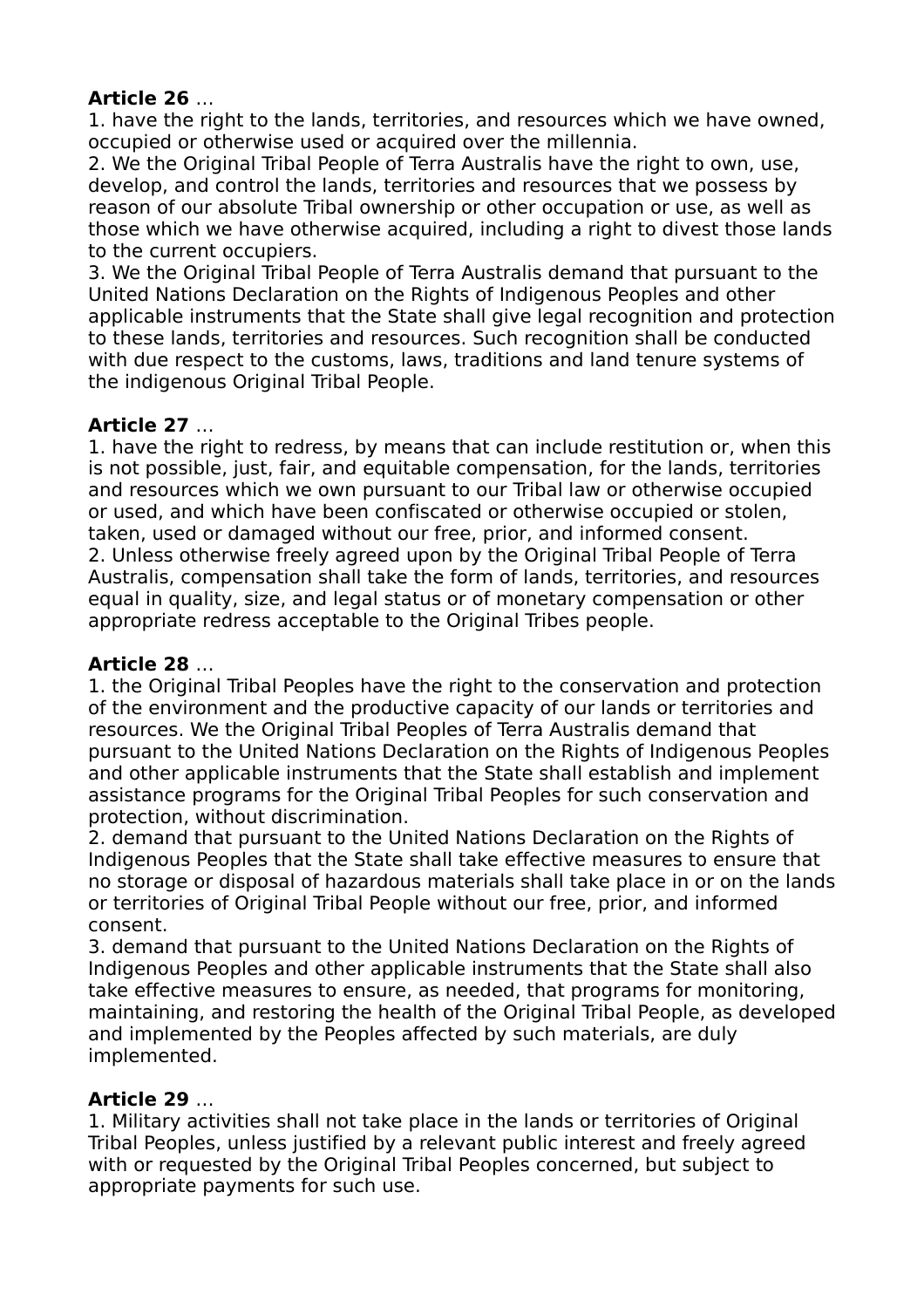# **Article 26** …

1. have the right to the lands, territories, and resources which we have owned, occupied or otherwise used or acquired over the millennia.

2. We the Original Tribal People of Terra Australis have the right to own, use, develop, and control the lands, territories and resources that we possess by reason of our absolute Tribal ownership or other occupation or use, as well as those which we have otherwise acquired, including a right to divest those lands to the current occupiers.

3. We the Original Tribal People of Terra Australis demand that pursuant to the United Nations Declaration on the Rights of Indigenous Peoples and other applicable instruments that the State shall give legal recognition and protection to these lands, territories and resources. Such recognition shall be conducted with due respect to the customs, laws, traditions and land tenure systems of the indigenous Original Tribal People.

# **Article 27** …

1. have the right to redress, by means that can include restitution or, when this is not possible, just, fair, and equitable compensation, for the lands, territories and resources which we own pursuant to our Tribal law or otherwise occupied or used, and which have been confiscated or otherwise occupied or stolen, taken, used or damaged without our free, prior, and informed consent. 2. Unless otherwise freely agreed upon by the Original Tribal People of Terra Australis, compensation shall take the form of lands, territories, and resources equal in quality, size, and legal status or of monetary compensation or other appropriate redress acceptable to the Original Tribes people.

# **Article 28** …

1. the Original Tribal Peoples have the right to the conservation and protection of the environment and the productive capacity of our lands or territories and resources. We the Original Tribal Peoples of Terra Australis demand that pursuant to the United Nations Declaration on the Rights of Indigenous Peoples and other applicable instruments that the State shall establish and implement assistance programs for the Original Tribal Peoples for such conservation and protection, without discrimination.

2. demand that pursuant to the United Nations Declaration on the Rights of Indigenous Peoples that the State shall take effective measures to ensure that no storage or disposal of hazardous materials shall take place in or on the lands or territories of Original Tribal People without our free, prior, and informed consent.

3. demand that pursuant to the United Nations Declaration on the Rights of Indigenous Peoples and other applicable instruments that the State shall also take effective measures to ensure, as needed, that programs for monitoring, maintaining, and restoring the health of the Original Tribal People, as developed and implemented by the Peoples affected by such materials, are duly implemented.

## **Article 29** …

1. Military activities shall not take place in the lands or territories of Original Tribal Peoples, unless justified by a relevant public interest and freely agreed with or requested by the Original Tribal Peoples concerned, but subject to appropriate payments for such use.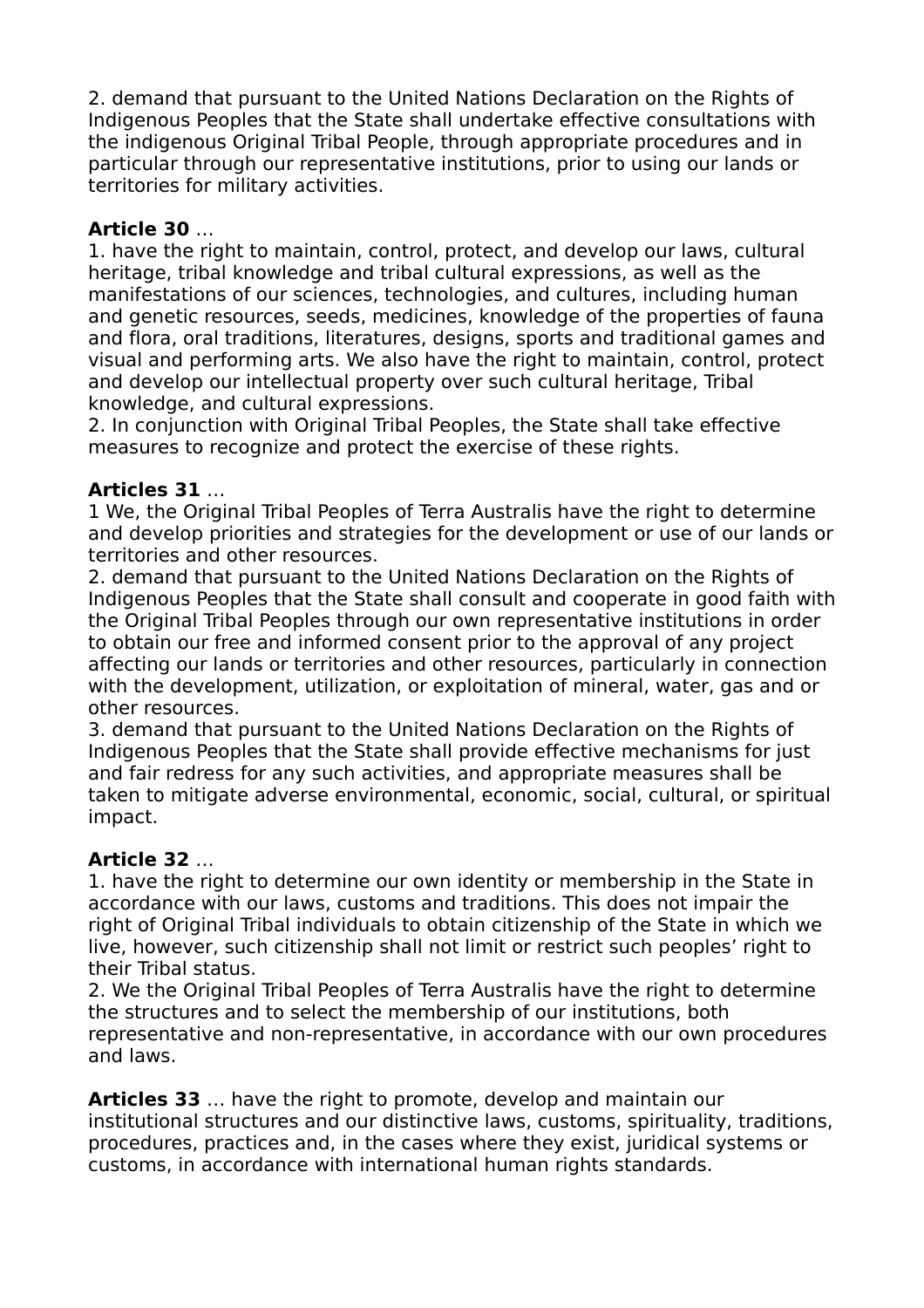2. demand that pursuant to the United Nations Declaration on the Rights of Indigenous Peoples that the State shall undertake effective consultations with the indigenous Original Tribal People, through appropriate procedures and in particular through our representative institutions, prior to using our lands or territories for military activities.

# **Article 30** …

1. have the right to maintain, control, protect, and develop our laws, cultural heritage, tribal knowledge and tribal cultural expressions, as well as the manifestations of our sciences, technologies, and cultures, including human and genetic resources, seeds, medicines, knowledge of the properties of fauna and flora, oral traditions, literatures, designs, sports and traditional games and visual and performing arts. We also have the right to maintain, control, protect and develop our intellectual property over such cultural heritage, Tribal knowledge, and cultural expressions.

2. In conjunction with Original Tribal Peoples, the State shall take effective measures to recognize and protect the exercise of these rights.

## **Articles 31** …

1 We, the Original Tribal Peoples of Terra Australis have the right to determine and develop priorities and strategies for the development or use of our lands or territories and other resources.

2. demand that pursuant to the United Nations Declaration on the Rights of Indigenous Peoples that the State shall consult and cooperate in good faith with the Original Tribal Peoples through our own representative institutions in order to obtain our free and informed consent prior to the approval of any project affecting our lands or territories and other resources, particularly in connection with the development, utilization, or exploitation of mineral, water, gas and or other resources.

3. demand that pursuant to the United Nations Declaration on the Rights of Indigenous Peoples that the State shall provide effective mechanisms for just and fair redress for any such activities, and appropriate measures shall be taken to mitigate adverse environmental, economic, social, cultural, or spiritual impact.

## **Article 32** …

1. have the right to determine our own identity or membership in the State in accordance with our laws, customs and traditions. This does not impair the right of Original Tribal individuals to obtain citizenship of the State in which we live, however, such citizenship shall not limit or restrict such peoples' right to their Tribal status.

2. We the Original Tribal Peoples of Terra Australis have the right to determine the structures and to select the membership of our institutions, both representative and non-representative, in accordance with our own procedures and laws.

**Articles 33** … have the right to promote, develop and maintain our institutional structures and our distinctive laws, customs, spirituality, traditions, procedures, practices and, in the cases where they exist, juridical systems or customs, in accordance with international human rights standards.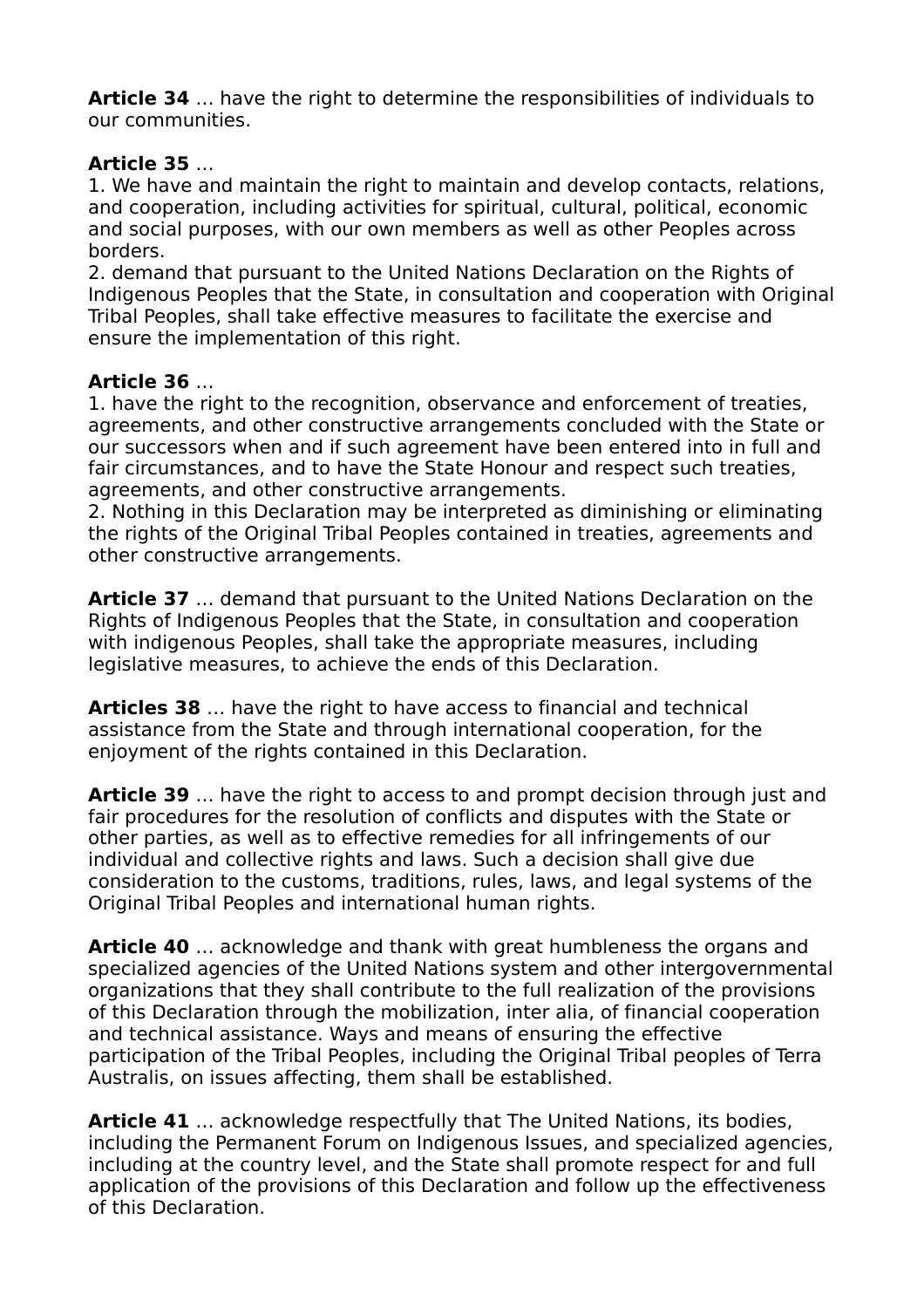**Article 34** … have the right to determine the responsibilities of individuals to our communities.

### **Article 35** …

1. We have and maintain the right to maintain and develop contacts, relations, and cooperation, including activities for spiritual, cultural, political, economic and social purposes, with our own members as well as other Peoples across borders.

2. demand that pursuant to the United Nations Declaration on the Rights of Indigenous Peoples that the State, in consultation and cooperation with Original Tribal Peoples, shall take effective measures to facilitate the exercise and ensure the implementation of this right.

#### **Article 36** …

1. have the right to the recognition, observance and enforcement of treaties, agreements, and other constructive arrangements concluded with the State or our successors when and if such agreement have been entered into in full and fair circumstances, and to have the State Honour and respect such treaties, agreements, and other constructive arrangements.

2. Nothing in this Declaration may be interpreted as diminishing or eliminating the rights of the Original Tribal Peoples contained in treaties, agreements and other constructive arrangements.

**Article 37** … demand that pursuant to the United Nations Declaration on the Rights of Indigenous Peoples that the State, in consultation and cooperation with indigenous Peoples, shall take the appropriate measures, including legislative measures, to achieve the ends of this Declaration.

**Articles 38** … have the right to have access to financial and technical assistance from the State and through international cooperation, for the enjoyment of the rights contained in this Declaration.

**Article 39** … have the right to access to and prompt decision through just and fair procedures for the resolution of conflicts and disputes with the State or other parties, as well as to effective remedies for all infringements of our individual and collective rights and laws. Such a decision shall give due consideration to the customs, traditions, rules, laws, and legal systems of the Original Tribal Peoples and international human rights.

**Article 40** … acknowledge and thank with great humbleness the organs and specialized agencies of the United Nations system and other intergovernmental organizations that they shall contribute to the full realization of the provisions of this Declaration through the mobilization, inter alia, of financial cooperation and technical assistance. Ways and means of ensuring the effective participation of the Tribal Peoples, including the Original Tribal peoples of Terra Australis, on issues affecting, them shall be established.

**Article 41** … acknowledge respectfully that The United Nations, its bodies, including the Permanent Forum on Indigenous Issues, and specialized agencies, including at the country level, and the State shall promote respect for and full application of the provisions of this Declaration and follow up the effectiveness of this Declaration.